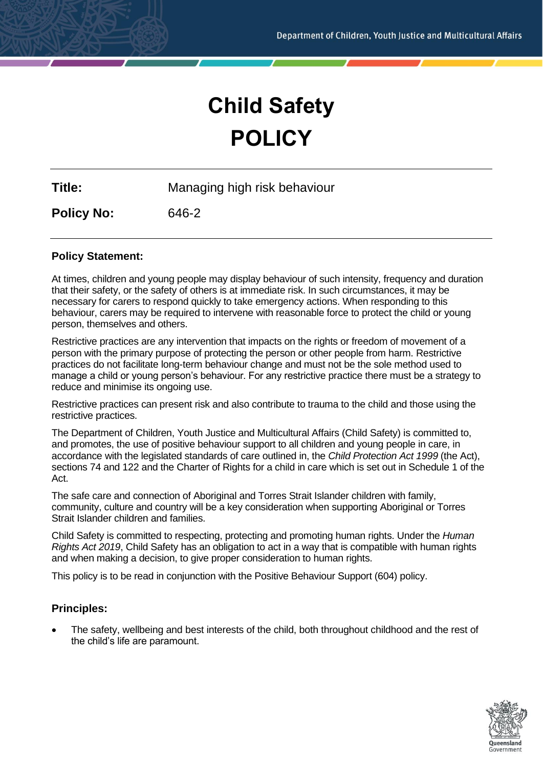# **Child Safety POLICY**

**Title:** Managing high risk behaviour

**Policy No:** 646-2

# **Policy Statement:**

At times, children and young people may display behaviour of such intensity, frequency and duration that their safety, or the safety of others is at immediate risk. In such circumstances, it may be necessary for carers to respond quickly to take emergency actions. When responding to this behaviour, carers may be required to intervene with reasonable force to protect the child or young person, themselves and others.

Restrictive practices are any intervention that impacts on the rights or freedom of movement of a person with the primary purpose of protecting the person or other people from harm. Restrictive practices do not facilitate long-term behaviour change and must not be the sole method used to manage a child or young person's behaviour. For any restrictive practice there must be a strategy to reduce and minimise its ongoing use.

Restrictive practices can present risk and also contribute to trauma to the child and those using the restrictive practices.

The Department of Children, Youth Justice and Multicultural Affairs (Child Safety) is committed to, and promotes, the use of positive behaviour support to all children and young people in care, in accordance with the legislated standards of care outlined in, the *Child Protection Act 1999* (the Act), sections 74 and 122 and the Charter of Rights for a child in care which is set out in Schedule 1 of the Act.

The safe care and connection of Aboriginal and Torres Strait Islander children with family, community, culture and country will be a key consideration when supporting Aboriginal or Torres Strait Islander children and families.

Child Safety is committed to respecting, protecting and promoting human rights. Under the *Human Rights Act 2019*, Child Safety has an obligation to act in a way that is compatible with human rights and when making a decision, to give proper consideration to human rights.

This policy is to be read in conjunction with the Positive Behaviour Support (604) policy.

# **Principles:**

• The safety, wellbeing and best interests of the child, both throughout childhood and the rest of the child's life are paramount.

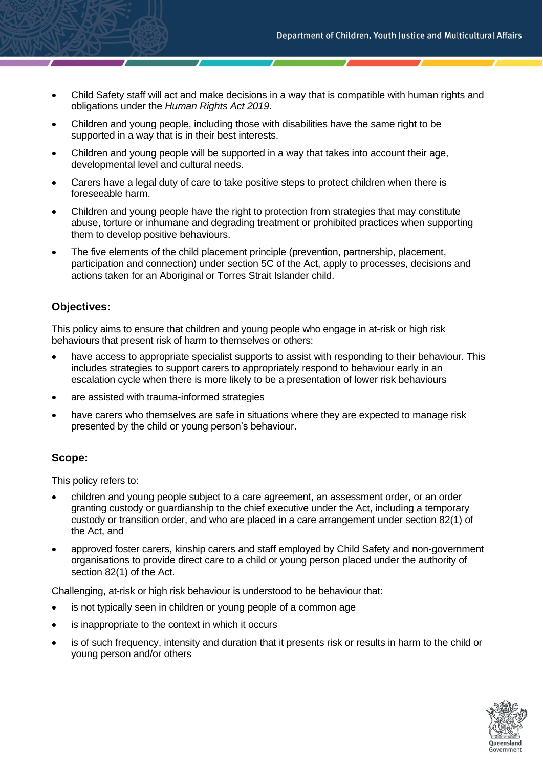- Child Safety staff will act and make decisions in a way that is compatible with human rights and obligations under the *Human Rights Act 2019*.
- Children and young people, including those with disabilities have the same right to be supported in a way that is in their best interests.
- Children and young people will be supported in a way that takes into account their age, developmental level and cultural needs.
- Carers have a legal duty of care to take positive steps to protect children when there is foreseeable harm.
- Children and young people have the right to protection from strategies that may constitute abuse, torture or inhumane and degrading treatment or prohibited practices when supporting them to develop positive behaviours.
- The five elements of the child placement principle (prevention, partnership, placement, participation and connection) under section 5C of the Act, apply to processes, decisions and actions taken for an Aboriginal or Torres Strait Islander child.

# **Objectives:**

This policy aims to ensure that children and young people who engage in at-risk or high risk behaviours that present risk of harm to themselves or others:

- have access to appropriate specialist supports to assist with responding to their behaviour. This includes strategies to support carers to appropriately respond to behaviour early in an escalation cycle when there is more likely to be a presentation of lower risk behaviours
- are assisted with trauma-informed strategies
- have carers who themselves are safe in situations where they are expected to manage risk presented by the child or young person's behaviour.

# **Scope:**

This policy refers to:

- children and young people subject to a care agreement, an assessment order, or an order granting custody or guardianship to the chief executive under the Act, including a temporary custody or transition order, and who are placed in a care arrangement under section 82(1) of the Act, and
- approved foster carers, kinship carers and staff employed by Child Safety and non-government organisations to provide direct care to a child or young person placed under the authority of section 82(1) of the Act.

Challenging, at-risk or high risk behaviour is understood to be behaviour that:

- is not typically seen in children or young people of a common age
- is inappropriate to the context in which it occurs
- is of such frequency, intensity and duration that it presents risk or results in harm to the child or young person and/or others

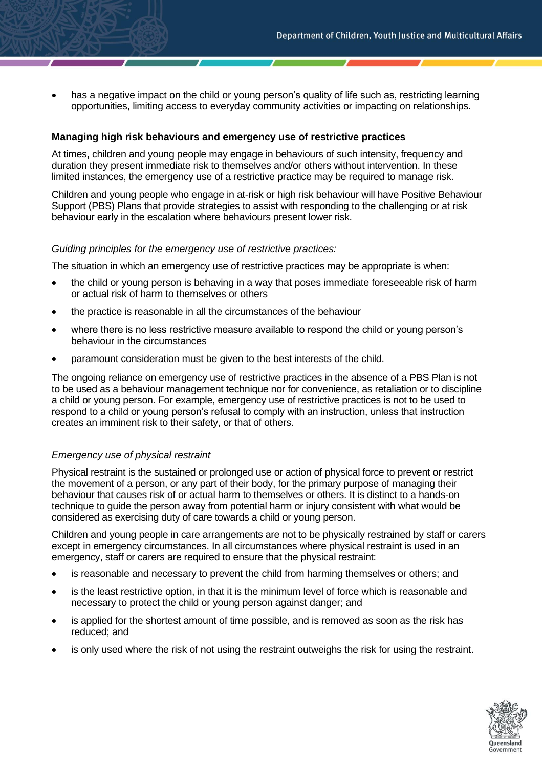has a negative impact on the child or young person's quality of life such as, restricting learning opportunities, limiting access to everyday community activities or impacting on relationships.

#### **Managing high risk behaviours and emergency use of restrictive practices**

At times, children and young people may engage in behaviours of such intensity, frequency and duration they present immediate risk to themselves and/or others without intervention. In these limited instances, the emergency use of a restrictive practice may be required to manage risk.

Children and young people who engage in at-risk or high risk behaviour will have Positive Behaviour Support (PBS) Plans that provide strategies to assist with responding to the challenging or at risk behaviour early in the escalation where behaviours present lower risk.

#### *Guiding principles for the emergency use of restrictive practices:*

The situation in which an emergency use of restrictive practices may be appropriate is when:

- the child or young person is behaving in a way that poses immediate foreseeable risk of harm or actual risk of harm to themselves or others
- the practice is reasonable in all the circumstances of the behaviour
- where there is no less restrictive measure available to respond the child or young person's behaviour in the circumstances
- paramount consideration must be given to the best interests of the child.

The ongoing reliance on emergency use of restrictive practices in the absence of a PBS Plan is not to be used as a behaviour management technique nor for convenience, as retaliation or to discipline a child or young person. For example, emergency use of restrictive practices is not to be used to respond to a child or young person's refusal to comply with an instruction, unless that instruction creates an imminent risk to their safety, or that of others.

# *Emergency use of physical restraint*

Physical restraint is the sustained or prolonged use or action of physical force to prevent or restrict the movement of a person, or any part of their body, for the primary purpose of managing their behaviour that causes risk of or actual harm to themselves or others. It is distinct to a hands-on technique to guide the person away from potential harm or injury consistent with what would be considered as exercising duty of care towards a child or young person.

Children and young people in care arrangements are not to be physically restrained by staff or carers except in emergency circumstances. In all circumstances where physical restraint is used in an emergency, staff or carers are required to ensure that the physical restraint:

- is reasonable and necessary to prevent the child from harming themselves or others; and
- is the least restrictive option, in that it is the minimum level of force which is reasonable and necessary to protect the child or young person against danger; and
- is applied for the shortest amount of time possible, and is removed as soon as the risk has reduced; and
- is only used where the risk of not using the restraint outweighs the risk for using the restraint.

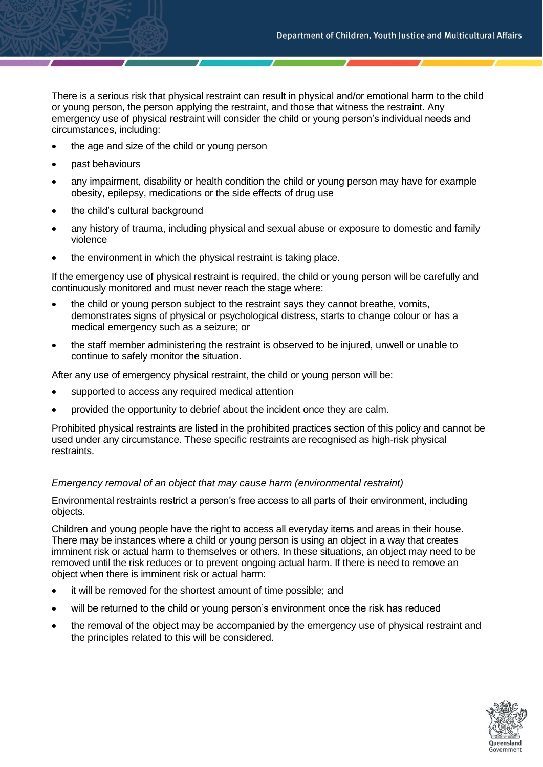There is a serious risk that physical restraint can result in physical and/or emotional harm to the child or young person, the person applying the restraint, and those that witness the restraint. Any emergency use of physical restraint will consider the child or young person's individual needs and circumstances, including:

- the age and size of the child or young person
- past behaviours
- any impairment, disability or health condition the child or young person may have for example obesity, epilepsy, medications or the side effects of drug use
- the child's cultural background
- any history of trauma, including physical and sexual abuse or exposure to domestic and family violence
- the environment in which the physical restraint is taking place.

If the emergency use of physical restraint is required, the child or young person will be carefully and continuously monitored and must never reach the stage where:

- the child or young person subject to the restraint says they cannot breathe, vomits, demonstrates signs of physical or psychological distress, starts to change colour or has a medical emergency such as a seizure; or
- the staff member administering the restraint is observed to be injured, unwell or unable to continue to safely monitor the situation.

After any use of emergency physical restraint, the child or young person will be:

- supported to access any required medical attention
- provided the opportunity to debrief about the incident once they are calm.

Prohibited physical restraints are listed in the prohibited practices section of this policy and cannot be used under any circumstance. These specific restraints are recognised as high-risk physical restraints.

# *Emergency removal of an object that may cause harm (environmental restraint)*

Environmental restraints restrict a person's free access to all parts of their environment, including objects.

Children and young people have the right to access all everyday items and areas in their house. There may be instances where a child or young person is using an object in a way that creates imminent risk or actual harm to themselves or others. In these situations, an object may need to be removed until the risk reduces or to prevent ongoing actual harm. If there is need to remove an object when there is imminent risk or actual harm:

- it will be removed for the shortest amount of time possible; and
- will be returned to the child or young person's environment once the risk has reduced
- the removal of the object may be accompanied by the emergency use of physical restraint and the principles related to this will be considered.

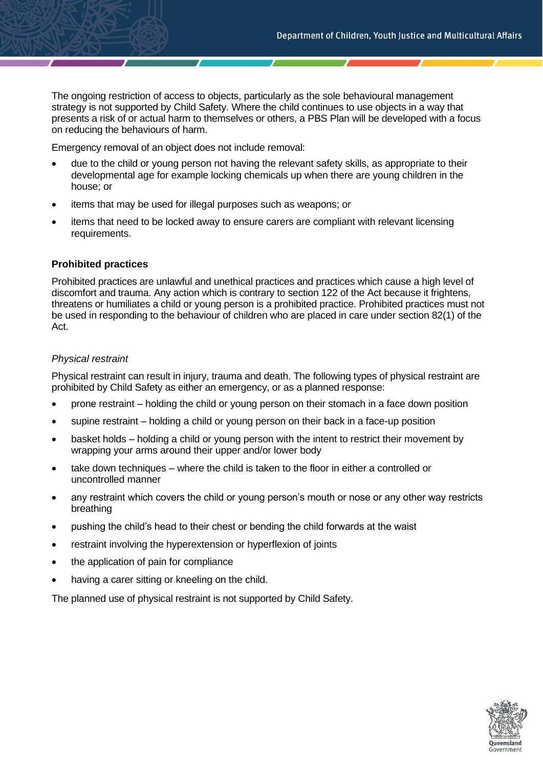The ongoing restriction of access to objects, particularly as the sole behavioural management strategy is not supported by Child Safety. Where the child continues to use objects in a way that presents a risk of or actual harm to themselves or others, a PBS Plan will be developed with a focus on reducing the behaviours of harm.

Emergency removal of an object does not include removal:

- due to the child or young person not having the relevant safety skills, as appropriate to their developmental age for example locking chemicals up when there are young children in the house; or
- items that may be used for illegal purposes such as weapons; or
- items that need to be locked away to ensure carers are compliant with relevant licensing requirements.

#### **Prohibited practices**

Prohibited practices are unlawful and unethical practices and practices which cause a high level of discomfort and trauma. Any action which is contrary to section 122 of the Act because it frightens, threatens or humiliates a child or young person is a prohibited practice. Prohibited practices must not be used in responding to the behaviour of children who are placed in care under section 82(1) of the Act.

#### *Physical restraint*

Physical restraint can result in injury, trauma and death. The following types of physical restraint are prohibited by Child Safety as either an emergency, or as a planned response:

- prone restraint holding the child or young person on their stomach in a face down position
- supine restraint holding a child or young person on their back in a face-up position
- basket holds holding a child or young person with the intent to restrict their movement by wrapping your arms around their upper and/or lower body
- take down techniques where the child is taken to the floor in either a controlled or uncontrolled manner
- any restraint which covers the child or young person's mouth or nose or any other way restricts breathing
- pushing the child's head to their chest or bending the child forwards at the waist
- restraint involving the hyperextension or hyperflexion of joints
- the application of pain for compliance
- having a carer sitting or kneeling on the child.

The planned use of physical restraint is not supported by Child Safety.

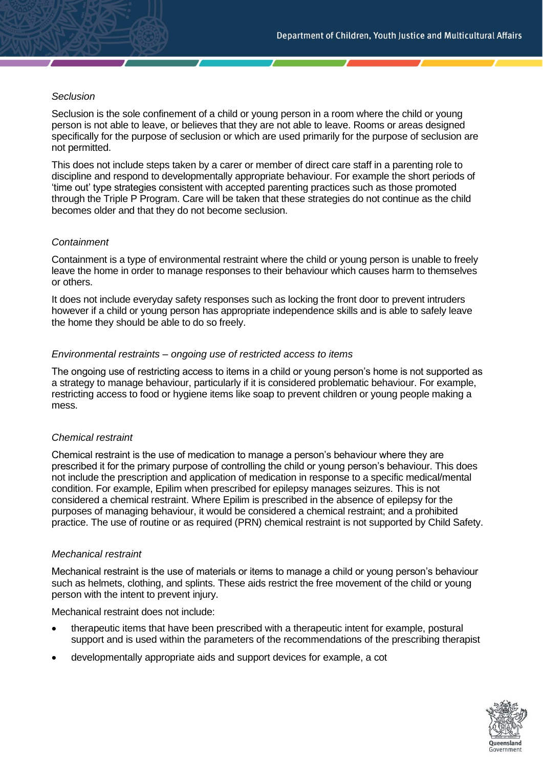## *Seclusion*

Seclusion is the sole confinement of a child or young person in a room where the child or young person is not able to leave, or believes that they are not able to leave. Rooms or areas designed specifically for the purpose of seclusion or which are used primarily for the purpose of seclusion are not permitted.

This does not include steps taken by a carer or member of direct care staff in a parenting role to discipline and respond to developmentally appropriate behaviour. For example the short periods of 'time out' type strategies consistent with accepted parenting practices such as those promoted through the Triple P Program. Care will be taken that these strategies do not continue as the child becomes older and that they do not become seclusion.

# *Containment*

Containment is a type of environmental restraint where the child or young person is unable to freely leave the home in order to manage responses to their behaviour which causes harm to themselves or others.

It does not include everyday safety responses such as locking the front door to prevent intruders however if a child or young person has appropriate independence skills and is able to safely leave the home they should be able to do so freely.

#### *Environmental restraints – ongoing use of restricted access to items*

The ongoing use of restricting access to items in a child or young person's home is not supported as a strategy to manage behaviour, particularly if it is considered problematic behaviour. For example, restricting access to food or hygiene items like soap to prevent children or young people making a mess.

#### *Chemical restraint*

Chemical restraint is the use of medication to manage a person's behaviour where they are prescribed it for the primary purpose of controlling the child or young person's behaviour. This does not include the prescription and application of medication in response to a specific medical/mental condition. For example, Epilim when prescribed for epilepsy manages seizures. This is not considered a chemical restraint. Where Epilim is prescribed in the absence of epilepsy for the purposes of managing behaviour, it would be considered a chemical restraint; and a prohibited practice. The use of routine or as required (PRN) chemical restraint is not supported by Child Safety.

#### *Mechanical restraint*

Mechanical restraint is the use of materials or items to manage a child or young person's behaviour such as helmets, clothing, and splints. These aids restrict the free movement of the child or young person with the intent to prevent injury.

Mechanical restraint does not include:

- therapeutic items that have been prescribed with a therapeutic intent for example, postural support and is used within the parameters of the recommendations of the prescribing therapist
- developmentally appropriate aids and support devices for example, a cot

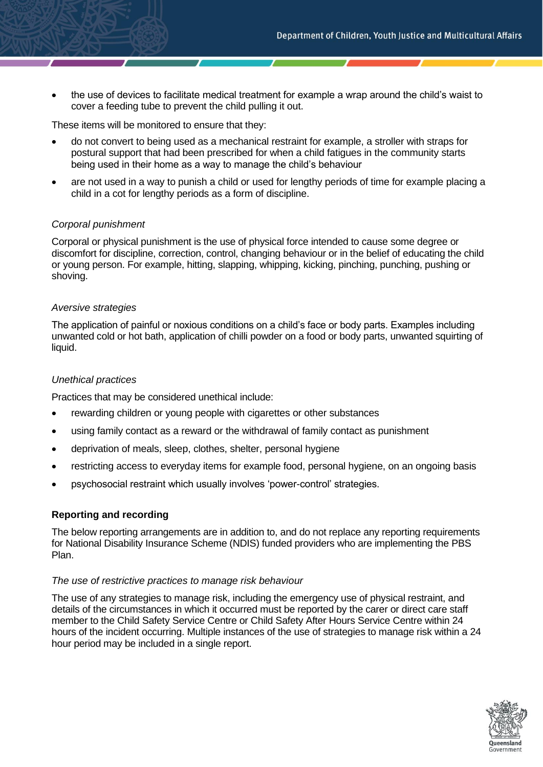• the use of devices to facilitate medical treatment for example a wrap around the child's waist to cover a feeding tube to prevent the child pulling it out.

These items will be monitored to ensure that they:

- do not convert to being used as a mechanical restraint for example, a stroller with straps for postural support that had been prescribed for when a child fatigues in the community starts being used in their home as a way to manage the child's behaviour
- are not used in a way to punish a child or used for lengthy periods of time for example placing a child in a cot for lengthy periods as a form of discipline.

#### *Corporal punishment*

Corporal or physical punishment is the use of physical force intended to cause some degree or discomfort for discipline, correction, control, changing behaviour or in the belief of educating the child or young person. For example, hitting, slapping, whipping, kicking, pinching, punching, pushing or shoving.

#### *Aversive strategies*

The application of painful or noxious conditions on a child's face or body parts. Examples including unwanted cold or hot bath, application of chilli powder on a food or body parts, unwanted squirting of liquid.

## *Unethical practices*

Practices that may be considered unethical include:

- rewarding children or young people with cigarettes or other substances
- using family contact as a reward or the withdrawal of family contact as punishment
- deprivation of meals, sleep, clothes, shelter, personal hygiene
- restricting access to everyday items for example food, personal hygiene, on an ongoing basis
- psychosocial restraint which usually involves 'power-control' strategies.

# **Reporting and recording**

The below reporting arrangements are in addition to, and do not replace any reporting requirements for National Disability Insurance Scheme (NDIS) funded providers who are implementing the PBS Plan.

#### *The use of restrictive practices to manage risk behaviour*

The use of any strategies to manage risk, including the emergency use of physical restraint, and details of the circumstances in which it occurred must be reported by the carer or direct care staff member to the Child Safety Service Centre or Child Safety After Hours Service Centre within 24 hours of the incident occurring. Multiple instances of the use of strategies to manage risk within a 24 hour period may be included in a single report.

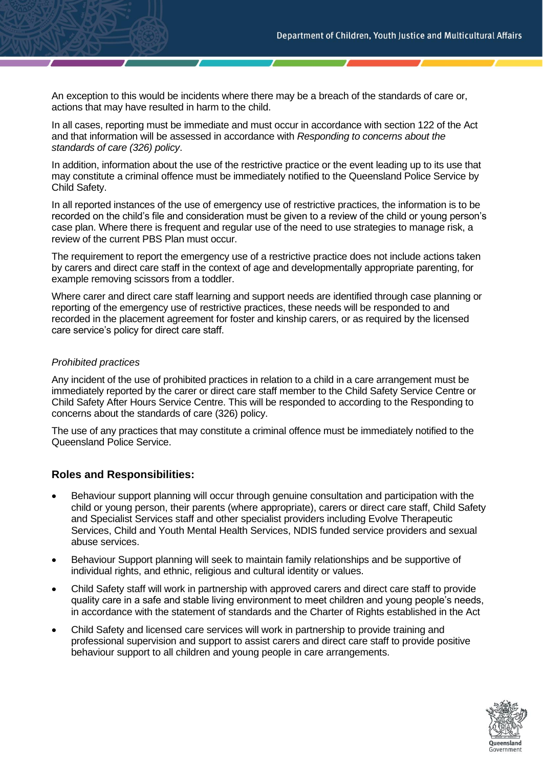An exception to this would be incidents where there may be a breach of the standards of care or, actions that may have resulted in harm to the child.

In all cases, reporting must be immediate and must occur in accordance with section 122 of the Act and that information will be assessed in accordance with *Responding to concerns about the standards of care (326) policy*.

In addition, information about the use of the restrictive practice or the event leading up to its use that may constitute a criminal offence must be immediately notified to the Queensland Police Service by Child Safety.

In all reported instances of the use of emergency use of restrictive practices, the information is to be recorded on the child's file and consideration must be given to a review of the child or young person's case plan. Where there is frequent and regular use of the need to use strategies to manage risk, a review of the current PBS Plan must occur.

The requirement to report the emergency use of a restrictive practice does not include actions taken by carers and direct care staff in the context of age and developmentally appropriate parenting, for example removing scissors from a toddler.

Where carer and direct care staff learning and support needs are identified through case planning or reporting of the emergency use of restrictive practices, these needs will be responded to and recorded in the placement agreement for foster and kinship carers, or as required by the licensed care service's policy for direct care staff.

# *Prohibited practices*

Any incident of the use of prohibited practices in relation to a child in a care arrangement must be immediately reported by the carer or direct care staff member to the Child Safety Service Centre or Child Safety After Hours Service Centre. This will be responded to according to the Responding to concerns about the standards of care (326) policy.

The use of any practices that may constitute a criminal offence must be immediately notified to the Queensland Police Service.

# **Roles and Responsibilities:**

- Behaviour support planning will occur through genuine consultation and participation with the child or young person, their parents (where appropriate), carers or direct care staff, Child Safety and Specialist Services staff and other specialist providers including Evolve Therapeutic Services, Child and Youth Mental Health Services, NDIS funded service providers and sexual abuse services.
- Behaviour Support planning will seek to maintain family relationships and be supportive of individual rights, and ethnic, religious and cultural identity or values.
- Child Safety staff will work in partnership with approved carers and direct care staff to provide quality care in a safe and stable living environment to meet children and young people's needs, in accordance with the statement of standards and the Charter of Rights established in the Act
- Child Safety and licensed care services will work in partnership to provide training and professional supervision and support to assist carers and direct care staff to provide positive behaviour support to all children and young people in care arrangements.

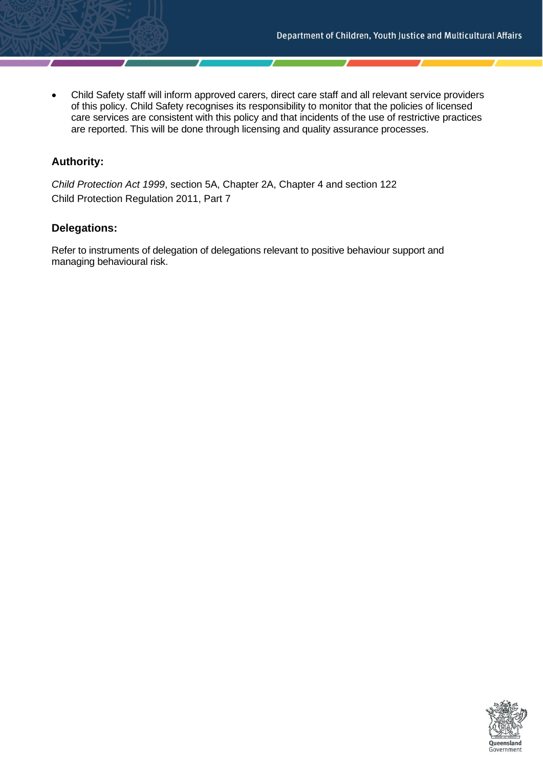• Child Safety staff will inform approved carers, direct care staff and all relevant service providers of this policy. Child Safety recognises its responsibility to monitor that the policies of licensed care services are consistent with this policy and that incidents of the use of restrictive practices are reported. This will be done through licensing and quality assurance processes.

# **Authority:**

*Child Protection Act 1999*, section 5A, Chapter 2A, Chapter 4 and section 122 Child Protection Regulation 2011, Part 7

# **Delegations:**

Refer to instruments of delegation of delegations relevant to positive behaviour support and managing behavioural risk.

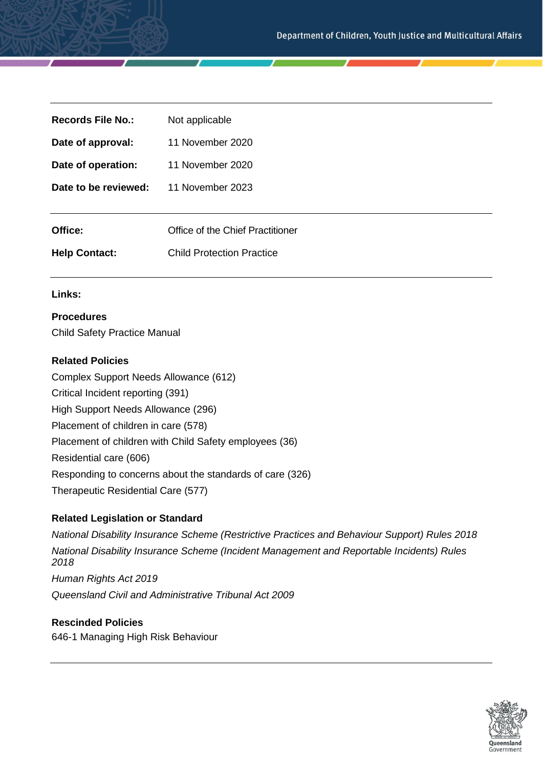| Not applicable                   |
|----------------------------------|
| 11 November 2020                 |
| 11 November 2020                 |
| 11 November 2023                 |
|                                  |
| Office of the Chief Practitioner |
| <b>Child Protection Practice</b> |
|                                  |

# **Links:**

# **Procedures**

Child Safety Practice Manual

#### **Related Policies**

Complex Support Needs Allowance (612) Critical Incident reporting (391) High Support Needs Allowance (296) Placement of children in care (578) Placement of children with Child Safety employees (36) Residential care (606) Responding to concerns about the standards of care (326) Therapeutic Residential Care (577)

# **Related Legislation or Standard**

*National Disability Insurance Scheme (Restrictive Practices and Behaviour Support) Rules 2018 National Disability Insurance Scheme (Incident Management and Reportable Incidents) Rules 2018 Human Rights Act 2019 Queensland Civil and Administrative Tribunal Act 2009*

# **Rescinded Policies**

646-1 Managing High Risk Behaviour